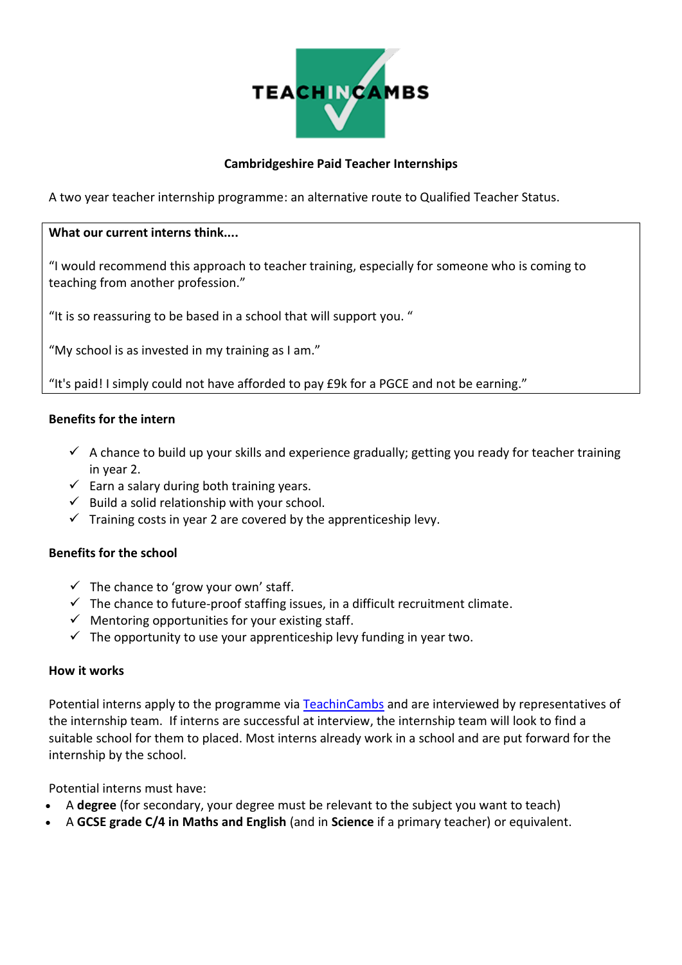

#### **Cambridgeshire Paid Teacher Internships**

A two year teacher internship programme: an alternative route to Qualified Teacher Status.

#### **What our current interns think....**

"I would recommend this approach to teacher training, especially for someone who is coming to teaching from another profession."

"It is so reassuring to be based in a school that will support you. "

"My school is as invested in my training as I am."

"It's paid! I simply could not have afforded to pay £9k for a PGCE and not be earning."

#### **Benefits for the intern**

- $\checkmark$  A chance to build up your skills and experience gradually; getting you ready for teacher training in year 2.
- $\checkmark$  Earn a salary during both training years.
- $\checkmark$  Build a solid relationship with your school.
- $\checkmark$  Training costs in year 2 are covered by the apprenticeship levy.

#### **Benefits for the school**

- $\checkmark$  The chance to 'grow your own' staff.
- $\checkmark$  The chance to future-proof staffing issues, in a difficult recruitment climate.
- $\checkmark$  Mentoring opportunities for your existing staff.
- $\checkmark$  The opportunity to use your apprenticeship levy funding in year two.

#### **How it works**

Potential interns apply to the programme vi[a TeachinCambs](https://www.teachincambs.org.uk/train-to-teach/cambridge-paid-teacher-internship/) and are interviewed by representatives of the internship team. If interns are successful at interview, the internship team will look to find a suitable school for them to placed. Most interns already work in a school and are put forward for the internship by the school.

Potential interns must have:

- A **degree** (for secondary, your degree must be relevant to the subject you want to teach)
- A **GCSE grade C/4 in Maths and English** (and in **Science** if a primary teacher) or equivalent.